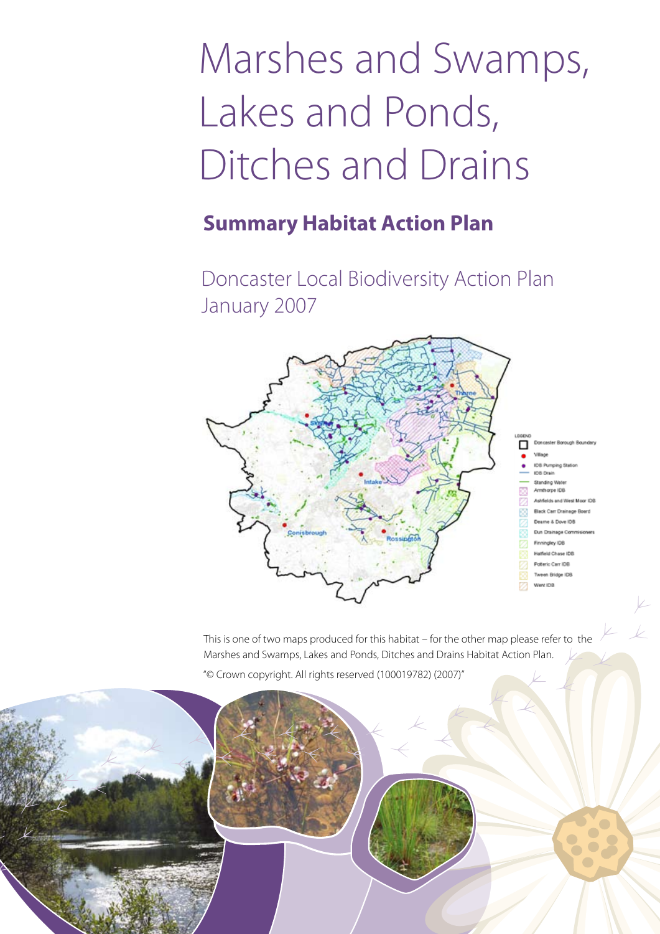# Marshes and Swamps, Lakes and Ponds, Ditches and Drains

# **Summary Habitat Action Plan**

Doncaster Local Biodiversity Action Plan January 2007



This is one of two maps produced for this habitat – for the other map please refer to the Marshes and Swamps, Lakes and Ponds, Ditches and Drains Habitat Action Plan. "© Crown copyright. All rights reserved (100019782) (2007)"

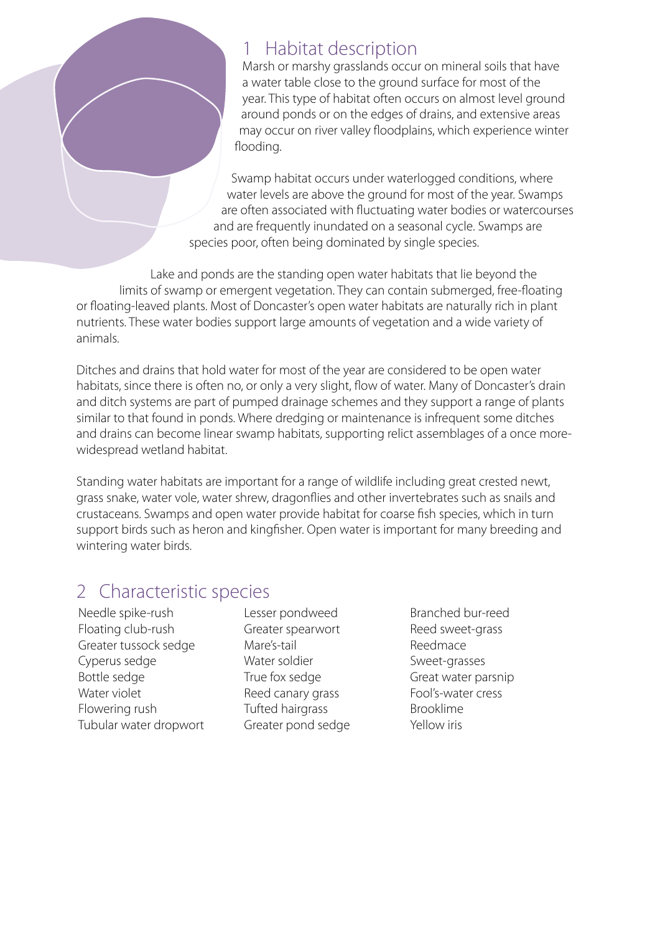## 1 Habitat description

Marsh or marshy grasslands occur on mineral soils that have a water table close to the ground surface for most of the year. This type of habitat often occurs on almost level ground around ponds or on the edges of drains, and extensive areas may occur on river valley floodplains, which experience winter flooding.

Swamp habitat occurs under waterlogged conditions, where water levels are above the ground for most of the year. Swamps are often associated with fluctuating water bodies or watercourses and are frequently inundated on a seasonal cycle. Swamps are species poor, often being dominated by single species.

Lake and ponds are the standing open water habitats that lie beyond the limits of swamp or emergent vegetation. They can contain submerged, free-floating or floating-leaved plants. Most of Doncaster's open water habitats are naturally rich in plant nutrients. These water bodies support large amounts of vegetation and a wide variety of animals.

Ditches and drains that hold water for most of the year are considered to be open water habitats, since there is often no, or only a very slight, flow of water. Many of Doncaster's drain and ditch systems are part of pumped drainage schemes and they support a range of plants similar to that found in ponds. Where dredging or maintenance is infrequent some ditches and drains can become linear swamp habitats, supporting relict assemblages of a once morewidespread wetland habitat.

Standing water habitats are important for a range of wildlife including great crested newt, grass snake, water vole, water shrew, dragonflies and other invertebrates such as snails and crustaceans. Swamps and open water provide habitat for coarse fish species, which in turn support birds such as heron and kingfisher. Open water is important for many breeding and wintering water birds.

## 2 Characteristic species

Needle spike-rush Floating club-rush Greater tussock sedge Cyperus sedge Bottle sedge Water violet Flowering rush Tubular water dropwort

Lesser pondweed Greater spearwort Mare's-tail Water soldier True fox sedge Reed canary grass Tufted hairgrass Greater pond sedge

Branched bur-reed Reed sweet-grass Reedmace Sweet-grasses Great water parsnip Fool's-water cress Brooklime Yellow iris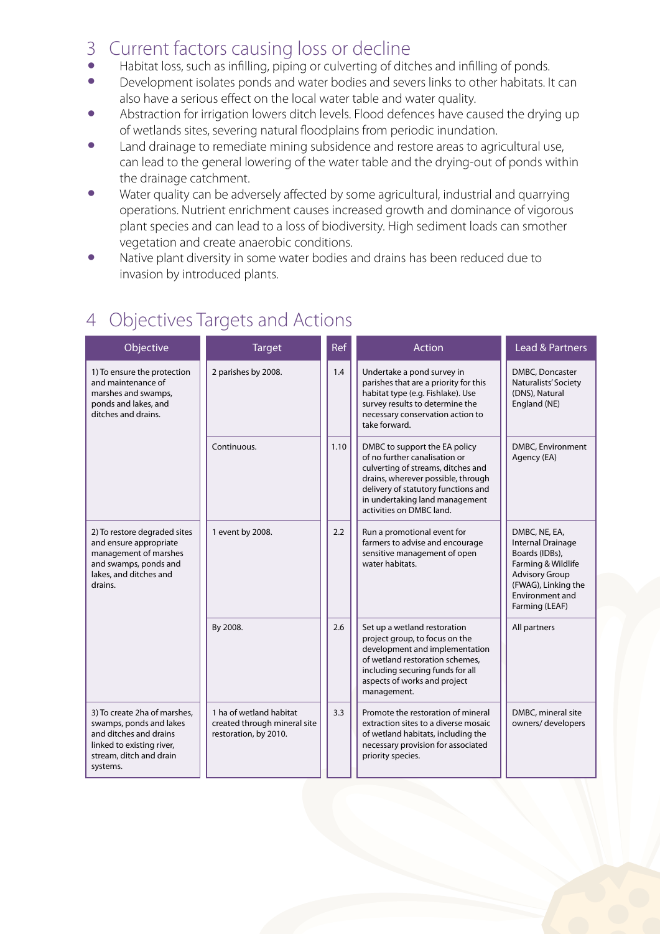#### 3 Current factors causing loss or decline

- Habitat loss, such as infilling, piping or culverting of ditches and infilling of ponds.<br>• Development isolates ponds and water bodies and severs links to other habitats It
- Development isolates ponds and water bodies and severs links to other habitats. It can also have a serious effect on the local water table and water quality.
- Abstraction for irrigation lowers ditch levels. Flood defences have caused the drying up of wetlands sites, severing natural floodplains from periodic inundation.
- Land drainage to remediate mining subsidence and restore areas to agricultural use, can lead to the general lowering of the water table and the drying-out of ponds within the drainage catchment.
- Water quality can be adversely affected by some agricultural, industrial and quarrying operations. Nutrient enrichment causes increased growth and dominance of vigorous plant species and can lead to a loss of biodiversity. High sediment loads can smother vegetation and create anaerobic conditions.
- Native plant diversity in some water bodies and drains has been reduced due to invasion by introduced plants.

| Objective                                                                                                                                             | <b>Target</b>                                                                    | Ref  | Action                                                                                                                                                                                                                                          | <b>Lead &amp; Partners</b>                                                                                                                                      |
|-------------------------------------------------------------------------------------------------------------------------------------------------------|----------------------------------------------------------------------------------|------|-------------------------------------------------------------------------------------------------------------------------------------------------------------------------------------------------------------------------------------------------|-----------------------------------------------------------------------------------------------------------------------------------------------------------------|
| 1) To ensure the protection<br>and maintenance of<br>marshes and swamps,<br>ponds and lakes, and<br>ditches and drains.                               | 2 parishes by 2008.                                                              | 1.4  | Undertake a pond survey in<br>parishes that are a priority for this<br>habitat type (e.g. Fishlake). Use<br>survey results to determine the<br>necessary conservation action to<br>take forward.                                                | DMBC, Doncaster<br>Naturalists' Society<br>(DNS), Natural<br>England (NE)                                                                                       |
|                                                                                                                                                       | Continuous.                                                                      | 1.10 | DMBC to support the EA policy<br>of no further canalisation or<br>culverting of streams, ditches and<br>drains, wherever possible, through<br>delivery of statutory functions and<br>in undertaking land management<br>activities on DMBC land. | DMBC, Environment<br>Agency (EA)                                                                                                                                |
| 2) To restore degraded sites<br>and ensure appropriate<br>management of marshes<br>and swamps, ponds and<br>lakes, and ditches and<br>drains.         | 1 event by 2008.                                                                 | 2.2  | Run a promotional event for<br>farmers to advise and encourage<br>sensitive management of open<br>water habitats.                                                                                                                               | DMBC, NE, EA,<br>Internal Drainage<br>Boards (IDBs),<br>Farming & Wildlife<br><b>Advisory Group</b><br>(FWAG), Linking the<br>Environment and<br>Farming (LEAF) |
|                                                                                                                                                       | By 2008.                                                                         | 2.6  | Set up a wetland restoration<br>project group, to focus on the<br>development and implementation<br>of wetland restoration schemes,<br>including securing funds for all<br>aspects of works and project<br>management.                          | All partners                                                                                                                                                    |
| 3) To create 2ha of marshes,<br>swamps, ponds and lakes<br>and ditches and drains<br>linked to existing river,<br>stream, ditch and drain<br>systems. | 1 ha of wetland habitat<br>created through mineral site<br>restoration, by 2010. | 3.3  | Promote the restoration of mineral<br>extraction sites to a diverse mosaic<br>of wetland habitats, including the<br>necessary provision for associated<br>priority species.                                                                     | DMBC, mineral site<br>owners/developers                                                                                                                         |

# 4 Objectives Targets and Actions